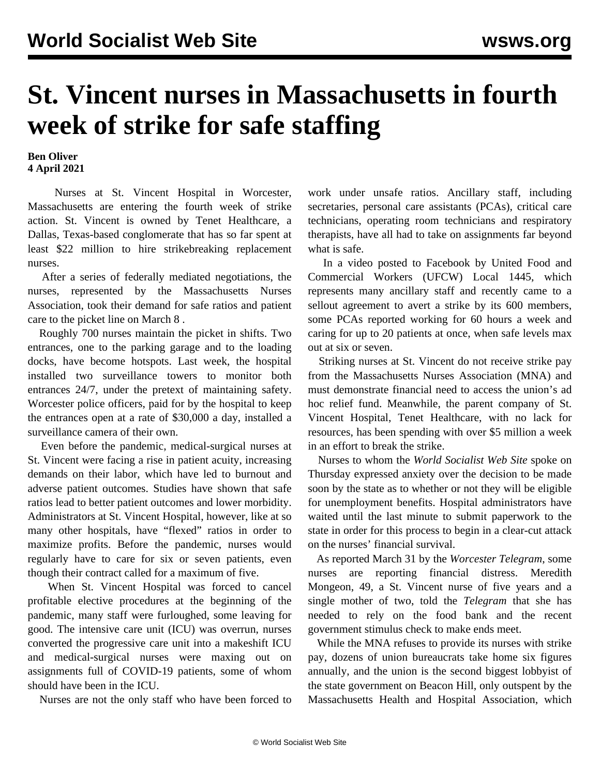## **St. Vincent nurses in Massachusetts in fourth week of strike for safe staffing**

**Ben Oliver 4 April 2021**

 Nurses at St. Vincent Hospital in Worcester, Massachusetts are entering the fourth week of strike action. St. Vincent is owned by Tenet Healthcare, a Dallas, Texas-based conglomerate that has so far spent at least \$22 million to hire strikebreaking replacement nurses.

 After a series of federally mediated negotiations, the nurses, represented by the Massachusetts Nurses Association, took their demand for safe ratios and patient care to the picket line on [March 8](/en/articles/2021/03/10/vinc-m10.html) .

 Roughly 700 nurses maintain the picket in shifts. Two entrances, one to the parking garage and to the loading docks, have become hotspots. Last week, the hospital installed two surveillance towers to monitor both entrances 24/7, under the pretext of maintaining safety. Worcester police officers, paid for by the hospital to keep the entrances open at a rate of \$30,000 a day, installed a surveillance camera of their own.

 Even before the pandemic, medical-surgical nurses at St. Vincent were facing a rise in patient acuity, increasing demands on their labor, which have led to burnout and adverse patient outcomes. Studies have [shown](https://www.ncbi.nlm.nih.gov/pmc/articles/PMC2908200/) that safe ratios lead to better patient outcomes and lower morbidity. Administrators at St. Vincent Hospital, however, like at so many other hospitals, have "flexed" ratios in order to maximize profits. Before the pandemic, nurses would regularly have to care for six or seven patients, even though their contract called for a maximum of five.

 When St. Vincent Hospital was forced to cancel profitable elective procedures at the beginning of the pandemic, many staff were furloughed, some leaving for good. The intensive care unit (ICU) was overrun, nurses converted the progressive care unit into a makeshift ICU and medical-surgical nurses were maxing out on assignments full of COVID-19 patients, some of whom should have been in the ICU.

Nurses are not the only staff who have been forced to

work under unsafe ratios. Ancillary staff, including secretaries, personal care assistants (PCAs), critical care technicians, operating room technicians and respiratory therapists, have all had to take on assignments far beyond what is safe.

 In a [video](https://www.facebook.com/watch/?v=155870526375122) posted to Facebook by United Food and Commercial Workers (UFCW) Local 1445, which represents many ancillary staff and recently came to a sellout [agreement](/en/articles/2021/03/25/vinc-m25.html) to avert a strike by its 600 members, some PCAs reported working for 60 hours a week and caring for up to 20 patients at once, when safe levels max out at six or seven.

 Striking nurses at St. Vincent do not receive strike pay from the Massachusetts Nurses Association (MNA) and must demonstrate financial need to access the union's ad hoc relief fund. Meanwhile, the parent company of St. Vincent Hospital, Tenet Healthcare, with no lack for resources, has been spending with over \$5 million a week in an effort to break the strike.

 Nurses to whom the *World Socialist Web Site* spoke on Thursday expressed anxiety over the decision to be made soon by the state as to whether or not they will be eligible for unemployment benefits. Hospital administrators have waited until the last minute to submit paperwork to the state in order for this process to begin in a clear-cut attack on the nurses' financial survival.

 As reported March 31 by the *Worcester Telegram*, some nurses are reporting financial distress. Meredith Mongeon, 49, a St. Vincent nurse of five years and a single mother of two, told the *Telegram* that she has needed to rely on the food bank and the recent government stimulus check to make ends meet.

 While the MNA refuses to provide its nurses with strike pay, dozens of union bureaucrats take home six figures annually, and the union is the second biggest lobbyist of the state government on Beacon Hill, only outspent by the Massachusetts Health and Hospital Association, which